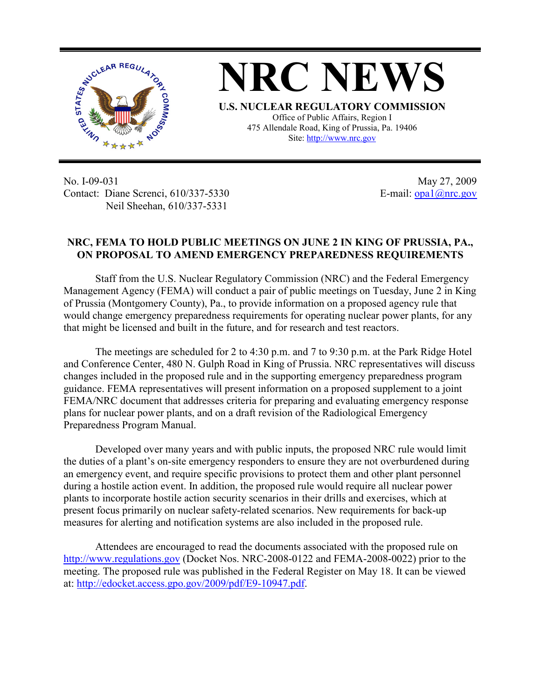

No. I-09-031 Contact: Diane Screnci, 610/337-5330 Neil Sheehan, 610/337-5331

May 27, 2009 E-mail:  $\frac{opa1}{@nrc.gov}$ 

## **NRC, FEMA TO HOLD PUBLIC MEETINGS ON JUNE 2 IN KING OF PRUSSIA, PA., ON PROPOSAL TO AMEND EMERGENCY PREPAREDNESS REQUIREMENTS**

Staff from the U.S. Nuclear Regulatory Commission (NRC) and the Federal Emergency Management Agency (FEMA) will conduct a pair of public meetings on Tuesday, June 2 in King of Prussia (Montgomery County), Pa., to provide information on a proposed agency rule that would change emergency preparedness requirements for operating nuclear power plants, for any that might be licensed and built in the future, and for research and test reactors.

The meetings are scheduled for 2 to 4:30 p.m. and 7 to 9:30 p.m. at the Park Ridge Hotel and Conference Center, 480 N. Gulph Road in King of Prussia. NRC representatives will discuss changes included in the proposed rule and in the supporting emergency preparedness program guidance. FEMA representatives will present information on a proposed supplement to a joint FEMA/NRC document that addresses criteria for preparing and evaluating emergency response plans for nuclear power plants, and on a draft revision of the Radiological Emergency Preparedness Program Manual.

Developed over many years and with public inputs, the proposed NRC rule would limit the duties of a plant's on-site emergency responders to ensure they are not overburdened during an emergency event, and require specific provisions to protect them and other plant personnel during a hostile action event. In addition, the proposed rule would require all nuclear power plants to incorporate hostile action security scenarios in their drills and exercises, which at present focus primarily on nuclear safety-related scenarios. New requirements for back-up measures for alerting and notification systems are also included in the proposed rule.

Attendees are encouraged to read the documents associated with the proposed rule on http://www.regulations.gov (Docket Nos. NRC-2008-0122 and FEMA-2008-0022) prior to the meeting. The proposed rule was published in the Federal Register on May 18. It can be viewed at: http://edocket.access.gpo.gov/2009/pdf/E9-10947.pdf.